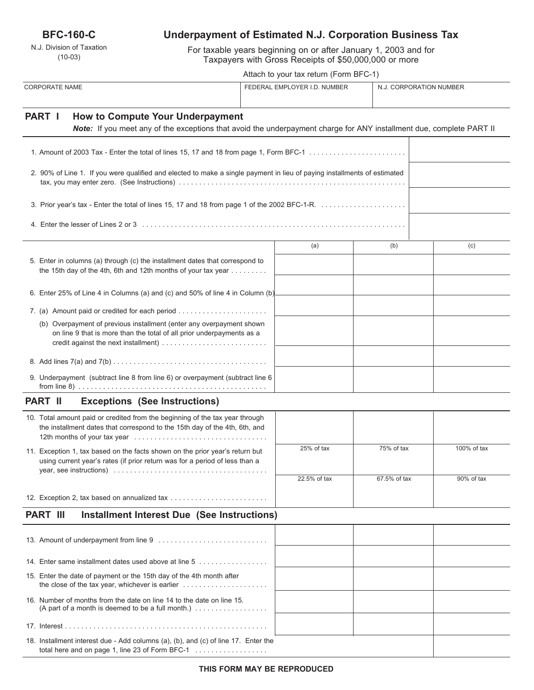**BFC-160-C**

N.J. Division of Taxation (10-03)

# **Underpayment of Estimated N.J. Corporation Business Tax**

For taxable years beginning on or after January 1, 2003 and for Taxpayers with Gross Receipts of \$50,000,000 or more

|                                                                                                                                                                           | Attach to your tax return (Form BFC-1) |                              |                         |             |
|---------------------------------------------------------------------------------------------------------------------------------------------------------------------------|----------------------------------------|------------------------------|-------------------------|-------------|
| <b>CORPORATE NAME</b>                                                                                                                                                     |                                        | FEDERAL EMPLOYER I.D. NUMBER | N.J. CORPORATION NUMBER |             |
| PART I<br><b>How to Compute Your Underpayment</b><br>Note: If you meet any of the exceptions that avoid the underpayment charge for ANY installment due, complete PART II |                                        |                              |                         |             |
|                                                                                                                                                                           |                                        |                              |                         |             |
| 2. 90% of Line 1. If you were qualified and elected to make a single payment in lieu of paying installments of estimated                                                  |                                        |                              |                         |             |
|                                                                                                                                                                           |                                        |                              |                         |             |
| 4. Enter the lesser of Lines 2 or 3 ………………………………………………………………………………                                                                                                        |                                        |                              |                         |             |
|                                                                                                                                                                           |                                        | (a)                          | (b)                     | (c)         |
| 5. Enter in columns (a) through (c) the installment dates that correspond to<br>the 15th day of the 4th, 6th and 12th months of your tax year $\dots \dots$               |                                        |                              |                         |             |
| 6. Enter 25% of Line 4 in Columns (a) and (c) and 50% of line 4 in Column (b)                                                                                             |                                        |                              |                         |             |
| 7. (a) Amount paid or credited for each period                                                                                                                            |                                        |                              |                         |             |
| (b) Overpayment of previous installment (enter any overpayment shown<br>on line 9 that is more than the total of all prior underpayments as a                             |                                        |                              |                         |             |
|                                                                                                                                                                           |                                        |                              |                         |             |
| 9. Underpayment (subtract line 8 from line 6) or overpayment (subtract line 6                                                                                             |                                        |                              |                         |             |
| PART II<br><b>Exceptions (See Instructions)</b>                                                                                                                           |                                        |                              |                         |             |
| 10. Total amount paid or credited from the beginning of the tax year through<br>the installment dates that correspond to the 15th day of the 4th, 6th, and                |                                        |                              |                         |             |
| 11. Exception 1, tax based on the facts shown on the prior year's return but<br>using current year's rates (if prior return was for a period of less than a               |                                        | 25% of tax                   | 75% of tax              | 100% of tax |
|                                                                                                                                                                           |                                        | 22.5% of tax                 | 67.5% of tax            | 90% of tax  |
| 12. Exception 2, tax based on annualized tax                                                                                                                              |                                        |                              |                         |             |
| <b>PART III</b><br>Installment Interest Due (See Instructions)                                                                                                            |                                        |                              |                         |             |
| 13. Amount of underpayment from line 9                                                                                                                                    |                                        |                              |                         |             |
| 14. Enter same installment dates used above at line 5                                                                                                                     |                                        |                              |                         |             |
| 15. Enter the date of payment or the 15th day of the 4th month after                                                                                                      |                                        |                              |                         |             |
| 16. Number of months from the date on line 14 to the date on line 15.<br>(A part of a month is deemed to be a full month.) $\ldots$                                       |                                        |                              |                         |             |
|                                                                                                                                                                           |                                        |                              |                         |             |

total here and on page 1, line 23 of Form BFC-1 . . . . . . . . . . . . . . . . . .

18. Installment interest due - Add columns (a), (b), and (c) of line 17. Enter the